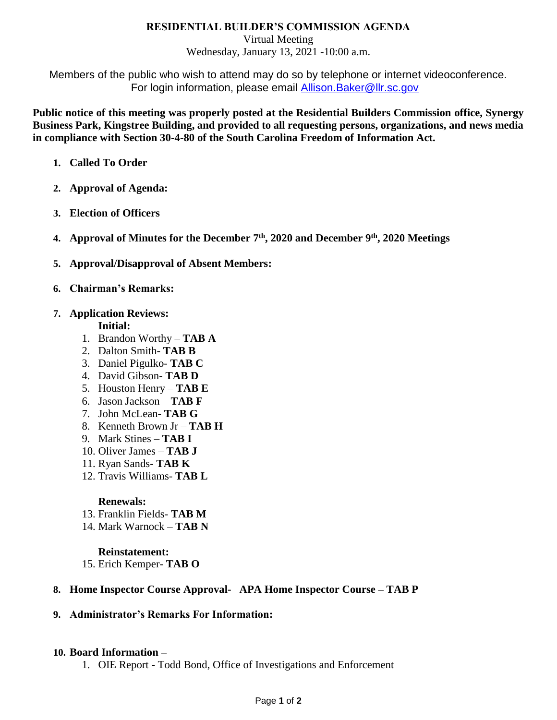## **RESIDENTIAL BUILDER'S COMMISSION AGENDA**

Virtual Meeting

Wednesday, January 13, 2021 -10:00 a.m.

Members of the public who wish to attend may do so by telephone or internet videoconference. For login information, please email [Allison.Baker@llr.sc.gov](mailto:Allison.Baker@llr.sc.gov)

**Public notice of this meeting was properly posted at the Residential Builders Commission office, Synergy Business Park, Kingstree Building, and provided to all requesting persons, organizations, and news media in compliance with Section 30-4-80 of the South Carolina Freedom of Information Act.**

- **1. Called To Order**
- **2. Approval of Agenda:**
- **3. Election of Officers**
- **4. Approval of Minutes for the December 7th, 2020 and December 9th , 2020 Meetings**
- **5. Approval/Disapproval of Absent Members:**
- **6. Chairman's Remarks:**

## **7. Application Reviews:**

**Initial:**

- 1. Brandon Worthy **TAB A**
- 2. Dalton Smith- **TAB B**
- 3. Daniel Pigulko- **TAB C**
- 4. David Gibson- **TAB D**
- 5. Houston Henry **TAB E**
- 6. Jason Jackson **TAB F**
- 7. John McLean- **TAB G**
- 8. Kenneth Brown Jr **TAB H**
- 9. Mark Stines **TAB I**
- 10. Oliver James **TAB J**
- 11. Ryan Sands- **TAB K**
- 12. Travis Williams- **TAB L**

#### **Renewals:**

- 13. Franklin Fields- **TAB M**
- 14. Mark Warnock **TAB N**

#### **Reinstatement:**

15. Erich Kemper- **TAB O**

## **8. Home Inspector Course Approval- APA Home Inspector Course – TAB P**

## **9. Administrator's Remarks For Information:**

#### **10. Board Information –**

1. OIE Report - Todd Bond, Office of Investigations and Enforcement